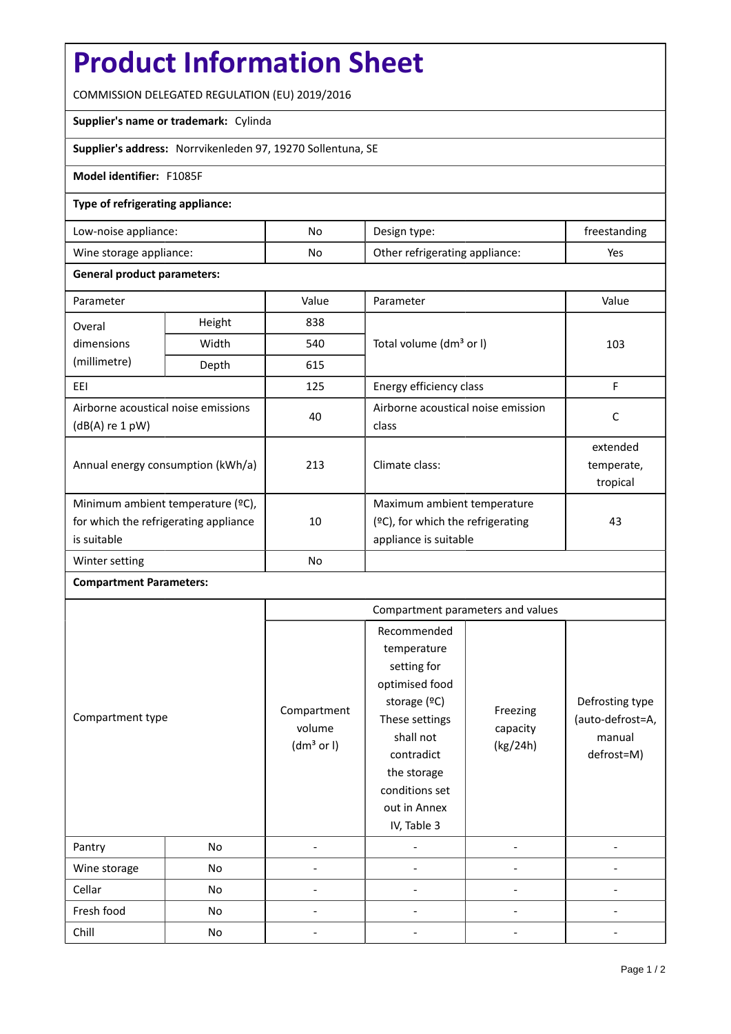# **Product Information Sheet**

COMMISSION DELEGATED REGULATION (EU) 2019/2016

### **Supplier's name or trademark:** Cylinda

**Supplier's address:** Norrvikenleden 97, 19270 Sollentuna, SE

### **Model identifier:** F1085F

#### **Type of refrigerating appliance:**

| Low-noise appliance:    | No | Design type:                   | freestanding |
|-------------------------|----|--------------------------------|--------------|
| Wine storage appliance: | No | Other refrigerating appliance: | Yes          |

#### **General product parameters:**

| Parameter                                              |        | Value          | Parameter                            | Value      |  |
|--------------------------------------------------------|--------|----------------|--------------------------------------|------------|--|
| Overal                                                 | Height | 838            |                                      | 103        |  |
| dimensions                                             | Width  | 540            | Total volume (dm <sup>3</sup> or I)  |            |  |
| (millimetre)                                           | Depth  | 615            |                                      |            |  |
| EEI                                                    |        | 125            | Energy efficiency class              | F          |  |
| Airborne acoustical noise emissions<br>(dB(A) re 1 pW) |        | 40             | Airborne acoustical noise emission   | C          |  |
|                                                        |        |                | class                                |            |  |
| Annual energy consumption (kWh/a)                      |        | 213            |                                      | extended   |  |
|                                                        |        |                | Climate class:                       | temperate, |  |
|                                                        |        |                |                                      | tropical   |  |
| Minimum ambient temperature (°C),                      |        |                | Maximum ambient temperature          |            |  |
| for which the refrigerating appliance                  |        | 10             | $(°C)$ , for which the refrigerating | 43         |  |
| is suitable                                            |        |                | appliance is suitable                |            |  |
| Winter setting                                         |        | N <sub>o</sub> |                                      |            |  |

## **Compartment Parameters:**

| Compartment type |    | Compartment parameters and values               |                                                                                                                                                                                          |                                  |                                                             |
|------------------|----|-------------------------------------------------|------------------------------------------------------------------------------------------------------------------------------------------------------------------------------------------|----------------------------------|-------------------------------------------------------------|
|                  |    | Compartment<br>volume<br>(dm <sup>3</sup> or I) | Recommended<br>temperature<br>setting for<br>optimised food<br>storage (°C)<br>These settings<br>shall not<br>contradict<br>the storage<br>conditions set<br>out in Annex<br>IV, Table 3 | Freezing<br>capacity<br>(kg/24h) | Defrosting type<br>(auto-defrost=A,<br>manual<br>defrost=M) |
| Pantry           | No |                                                 |                                                                                                                                                                                          |                                  |                                                             |
| Wine storage     | No |                                                 |                                                                                                                                                                                          |                                  |                                                             |
| Cellar           | No |                                                 |                                                                                                                                                                                          |                                  |                                                             |
| Fresh food       | No |                                                 |                                                                                                                                                                                          |                                  |                                                             |
| Chill            | No |                                                 |                                                                                                                                                                                          |                                  |                                                             |